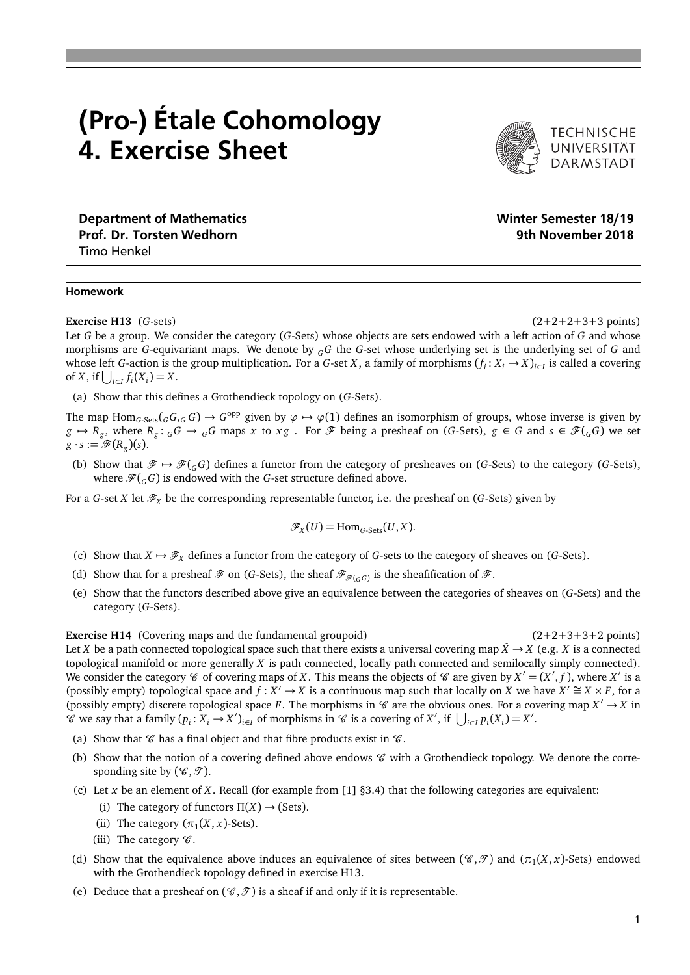## (Pro-) Étale Cohomology 4. Exercise Sheet



TECHNISCHE<br>UNIVERSITÄT **DARMSTADT** 

Department of Mathematics Number of Mathematics Number of Mathematics Number of Mathematics Number of Mathematics Prof. Dr. Torsten Wedhorn **9th November 2018** Timo Henkel

## Homework

**Exercise H13** (*G*-sets) (2+2+2+3+3 points)

Let *G* be a group. We consider the category (*G*-Sets) whose objects are sets endowed with a left action of *G* and whose morphisms are *G*-equivariant maps. We denote by *<sup>G</sup>G* the *G*-set whose underlying set is the underlying set of *G* and whose left *G*-action is the group multiplication. For a *G*-set *X*, a family of morphisms  $(f_i: X_i \to X)_{i \in I}$  is called a covering of *X*, if  $\bigcup_{i \in I} f_i(X_i) = X$ .

(a) Show that this defines a Grothendieck topology on (*G*-Sets).

The map  $\text{Hom}_{G\text{-Sets}}({}_GG,_G G) \to G^\text{opp}$  given by  $\varphi \mapsto \varphi(1)$  defines an isomorphism of groups, whose inverse is given by  $g \mapsto R_g$ , where  $R_g: {}_GG \to {}_GG$  maps x to  $xg$ . For  $\mathscr F$  being a presheaf on (G-Sets),  $g \in G$  and  $s \in \mathscr F({}_GG)$  we set  $g \cdot s := \mathscr{F}(R_g)(s).$ 

(b) Show that  $\mathcal{F} \mapsto \mathcal{F}(\mathcal{G})$  defines a functor from the category of presheaves on (*G*-Sets) to the category (*G*-Sets), where  $\mathscr{F}(G)$  is endowed with the *G*-set structure defined above.

For a *G*-set *X* let  $\mathcal{F}_X$  be the corresponding representable functor, i.e. the presheaf on (*G*-Sets) given by

$$
\mathscr{F}_X(U) = \mathrm{Hom}_{G\text{-Sets}}(U,X).
$$

- (c) Show that  $X \mapsto \mathcal{F}_X$  defines a functor from the category of *G*-sets to the category of sheaves on (*G*-Sets).
- (d) Show that for a presheaf  $\mathcal F$  on (*G*-Sets), the sheaf  $\mathcal F_{\mathcal F(G)}$  is the sheafification of  $\mathcal F$ .
- (e) Show that the functors described above give an equivalence between the categories of sheaves on (*G*-Sets) and the category (*G*-Sets).

**Exercise H14** (Covering maps and the fundamental groupoid) (2+2+3+3+2 points) Let *X* be a path connected topological space such that there exists a universal covering map  $\ddot{X} \to X$  (e.g. *X* is a connected topological manifold or more generally *X* is path connected, locally path connected and semilocally simply connected). We consider the category  $\mathcal C$  of covering maps of *X*. This means the objects of  $\mathcal C$  are given by  $X' = (X', f)$ , where  $X'$  is a (possibly empty) topological space and  $f : X' \to X$  is a continuous map such that locally on *X* we have  $X' \cong X \times F$ , for a (possibly empty) discrete topological space *F*. The morphisms in  $\mathscr C$  are the obvious ones. For a covering map  $X' \to X$  in  $\mathscr{C}$  we say that a family  $(p_i : X_i \to X')_{i \in I}$  of morphisms in  $\mathscr{C}$  is a covering of  $X'$ , if  $\bigcup_{i \in I} p_i(X_i) = X'$ .

- (a) Show that  $\mathscr C$  has a final object and that fibre products exist in  $\mathscr C$ .
- (b) Show that the notion of a covering defined above endows  $\mathscr C$  with a Grothendieck topology. We denote the corresponding site by  $(\mathscr{C}, \mathscr{T})$ .
- (c) Let *x* be an element of *X*. Recall (for example from [1] §3.4) that the following categories are equivalent:
	- (i) The category of functors  $\Pi(X) \rightarrow$  (Sets).
	- (ii) The category  $(\pi_1(X, x)$ -Sets).
	- (iii) The category  $\mathscr{C}$ .
- (d) Show that the equivalence above induces an equivalence of sites between  $(\mathscr{C}, \mathscr{T})$  and  $(\pi_1(X, x)$ -Sets) endowed with the Grothendieck topology defined in exercise H13.
- (e) Deduce that a presheaf on  $(\mathcal{C}, \mathcal{T})$  is a sheaf if and only if it is representable.